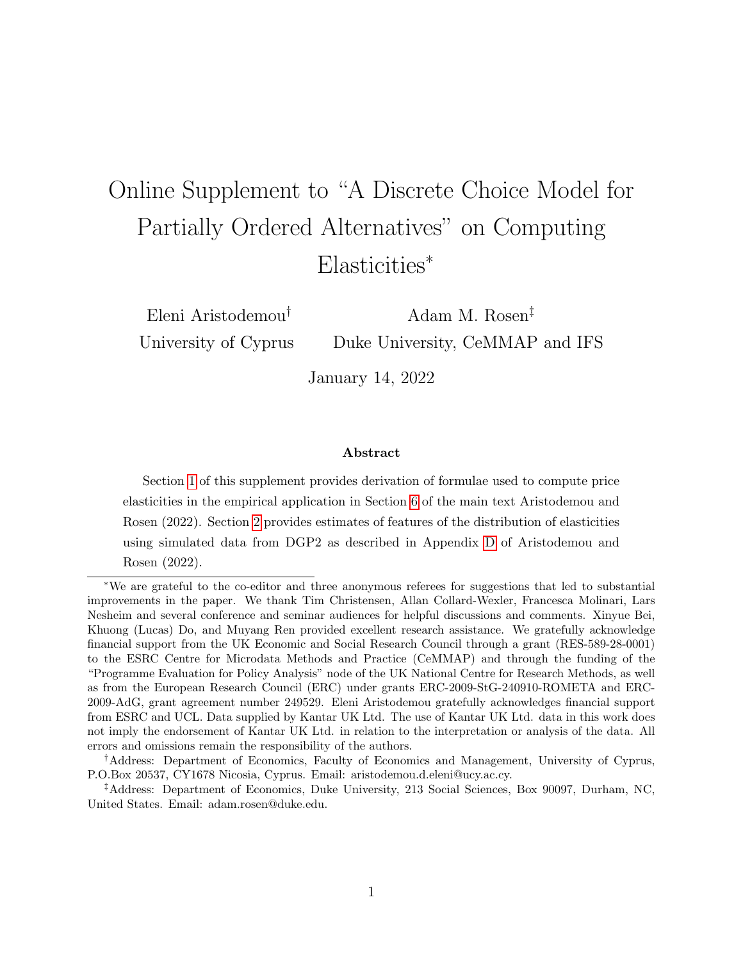# <span id="page-0-0"></span>Online Supplement to "A Discrete Choice Model for Partially Ordered Alternatives" on Computing Elasticities<sup>∗</sup>

Eleni Aristodemou† University of Cyprus

Adam M. Rosen‡ Duke University, CeMMAP and IFS

January 14, 2022

#### Abstract

Section [1](#page-1-0) of this supplement provides derivation of formulae used to compute price elasticities in the empirical application in Section 6 of the main text Aristodemou and Rosen (2022). Section [2](#page-5-0) provides estimates of features of the distribution of elasticities using simulated data from DGP2 as described in Appendix D of Aristodemou and Rosen (2022).

<sup>∗</sup>We are grateful to the co-editor and three anonymous referees for suggestions that led to substantial improvements in the paper. We thank Tim Christensen, Allan Collard-Wexler, Francesca Molinari, Lars Nesheim and several conference and seminar audiences for helpful discussions and comments. Xinyue Bei, Khuong (Lucas) Do, and Muyang Ren provided excellent research assistance. We gratefully acknowledge financial support from the UK Economic and Social Research Council through a grant (RES-589-28-0001) to the ESRC Centre for Microdata Methods and Practice (CeMMAP) and through the funding of the "Programme Evaluation for Policy Analysis" node of the UK National Centre for Research Methods, as well as from the European Research Council (ERC) under grants ERC-2009-StG-240910-ROMETA and ERC-2009-AdG, grant agreement number 249529. Eleni Aristodemou gratefully acknowledges financial support from ESRC and UCL. Data supplied by Kantar UK Ltd. The use of Kantar UK Ltd. data in this work does not imply the endorsement of Kantar UK Ltd. in relation to the interpretation or analysis of the data. All errors and omissions remain the responsibility of the authors.

<sup>†</sup>Address: Department of Economics, Faculty of Economics and Management, University of Cyprus, P.O.Box 20537, CY1678 Nicosia, Cyprus. Email: aristodemou.d.eleni@ucy.ac.cy.

<sup>‡</sup>Address: Department of Economics, Duke University, 213 Social Sciences, Box 90097, Durham, NC, United States. Email: adam.rosen@duke.edu.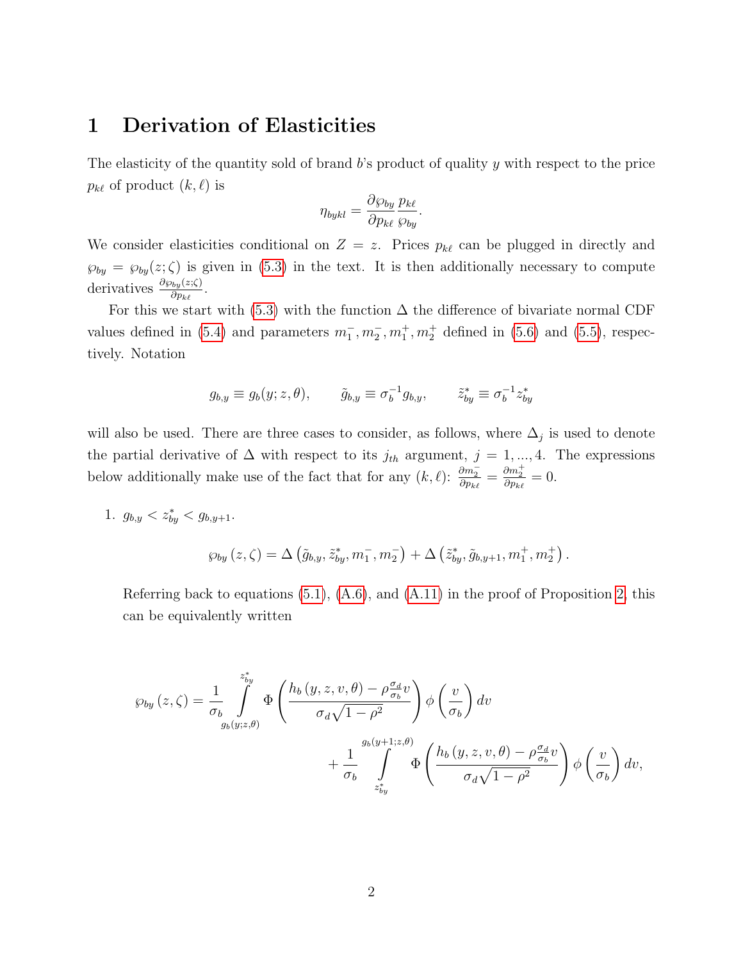### <span id="page-1-0"></span>1 Derivation of Elasticities

The elasticity of the quantity sold of brand  $b$ 's product of quality y with respect to the price  $p_{k\ell}$  of product  $(k, \ell)$  is

$$
\eta_{bykl} = \frac{\partial \wp_{by}}{\partial p_{k\ell}} \frac{p_{k\ell}}{\wp_{by}}.
$$

We consider elasticities conditional on  $Z = z$ . Prices  $p_{k\ell}$  can be plugged in directly and  $\wp_{by} = \wp_{by}(z;\zeta)$  is given in [\(5.3\)](#page-0-0) in the text. It is then additionally necessary to compute derivatives  $\frac{\partial \varphi_{by}(z;\zeta)}{\partial p_{k\ell}}$ .

For this we start with [\(5.3\)](#page-0-0) with the function  $\Delta$  the difference of bivariate normal CDF values defined in [\(5.4\)](#page-0-0) and parameters  $m_1^-, m_2^-, m_1^+, m_2^+$  defined in [\(5.6\)](#page-0-0) and [\(5.5\)](#page-0-0), respectively. Notation

$$
g_{b,y} \equiv g_b(y; z, \theta), \qquad \tilde{g}_{b,y} \equiv \sigma_b^{-1} g_{b,y}, \qquad \tilde{z}_{by}^* \equiv \sigma_b^{-1} z_{by}^*
$$

will also be used. There are three cases to consider, as follows, where  $\Delta_j$  is used to denote the partial derivative of  $\Delta$  with respect to its  $j_{th}$  argument,  $j = 1, ..., 4$ . The expressions below additionally make use of the fact that for any  $(k, \ell)$ :  $\frac{\partial m_2^-}{\partial p_{k\ell}} = \frac{\partial m_2^+}{\partial p_{k\ell}} = 0$ .

1.  $g_{b,y} < z_{by}^* < g_{b,y+1}.$ 

$$
\wp_{by}(z,\zeta)=\Delta\left(\tilde{g}_{b,y},\tilde{z}_{by}^*,m_1^-,m_2^-\right)+\Delta\left(\tilde{z}_{by}^*,\tilde{g}_{b,y+1},m_1^+,m_2^+\right).
$$

Referring back to equations [\(5.1\)](#page-0-0), [\(A.6\)](#page-0-0), and [\(A.11\)](#page-0-0) in the proof of Proposition [2,](#page-0-0) this can be equivalently written

$$
\wp_{by}(z,\zeta) = \frac{1}{\sigma_b} \int_{g_b(y;z,\theta)}^{z_{by}^*} \Phi\left(\frac{h_b(y,z,v,\theta) - \rho \frac{\sigma_d}{\sigma_b}v}{\sigma_d\sqrt{1-\rho^2}}\right) \phi\left(\frac{v}{\sigma_b}\right) dv + \frac{1}{\sigma_b} \int_{z_{by}^*}^{g_b(y+1;z,\theta)} \Phi\left(\frac{h_b(y,z,v,\theta) - \rho \frac{\sigma_d}{\sigma_b}v}{\sigma_d\sqrt{1-\rho^2}}\right) \phi\left(\frac{v}{\sigma_b}\right) dv,
$$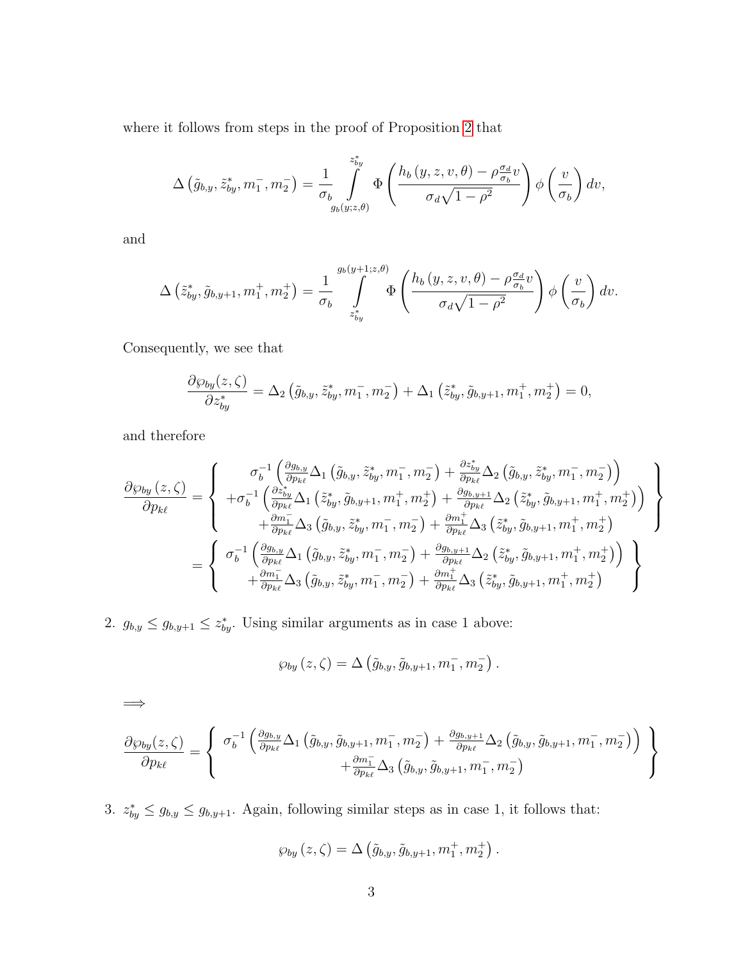where it follows from steps in the proof of Proposition [2](#page-0-0) that

$$
\Delta\left(\tilde{g}_{b,y}, \tilde{z}_{by}^*, m_1^-, m_2^-\right) = \frac{1}{\sigma_b} \int\limits_{g_b(y;z,\theta)}^{z_{by}^*} \Phi\left(\frac{h_b(y,z,v,\theta) - \rho \frac{\sigma_d}{\sigma_b}v}{\sigma_d\sqrt{1-\rho^2}}\right) \phi\left(\frac{v}{\sigma_b}\right) dv,
$$

and

$$
\Delta\left(\tilde{z}_{by}^*, \tilde{g}_{b,y+1}, m_1^+, m_2^+\right) = \frac{1}{\sigma_b} \int\limits_{z_{by}^*}^{g_b(y+1;z,\theta)} \Phi\left(\frac{h_b\left(y, z, v, \theta\right) - \rho \frac{\sigma_d}{\sigma_b} v}{\sigma_d \sqrt{1-\rho^2}}\right) \phi\left(\frac{v}{\sigma_b}\right) dv.
$$

Consequently, we see that

$$
\frac{\partial \wp_{by}(z,\zeta)}{\partial z_{by}^*} = \Delta_2 \left( \tilde{g}_{b,y}, \tilde{z}_{by}^*, m_1^-, m_2^- \right) + \Delta_1 \left( \tilde{z}_{by}^*, \tilde{g}_{b,y+1}, m_1^+, m_2^+ \right) = 0,
$$

and therefore

$$
\frac{\partial \varphi_{by}(z,\zeta)}{\partial p_{k\ell}} = \begin{cases}\n\sigma_b^{-1}\left(\frac{\partial g_{b,y}}{\partial p_{k\ell}}\Delta_1\left(\tilde{g}_{b,y}, \tilde{z}_{by}^*, m_1^-, m_2^-\right) + \frac{\partial z_{by}^*}{\partial p_{k\ell}}\Delta_2\left(\tilde{g}_{b,y}, \tilde{z}_{by}^*, m_1^-, m_2^-\right)\right) \\
+\sigma_b^{-1}\left(\frac{\partial z_{by}^*}{\partial p_{k\ell}}\Delta_1\left(\tilde{z}_{by}^*, \tilde{g}_{b,y+1}, m_1^+, m_2^+\right) + \frac{\partial g_{b,y+1}}{\partial p_{k\ell}}\Delta_2\left(\tilde{z}_{by}^*, \tilde{g}_{b,y+1}, m_1^+, m_2^+\right)\right) \\
+\frac{\partial m_1^-}{\partial p_{k\ell}}\Delta_3\left(\tilde{g}_{b,y}, \tilde{z}_{by}^*, m_1^-, m_2^-\right) + \frac{\partial m_1^+}{\partial p_{k\ell}}\Delta_3\left(\tilde{z}_{by}^*, \tilde{g}_{b,y+1}, m_1^+, m_2^+\right) \\
+\frac{\partial m_1^-}{\partial p_{k\ell}}\Delta_3\left(\tilde{g}_{b,y}, \tilde{z}_{by}^*, m_1^-, m_2^-\right) + \frac{\partial g_{b,y+1}}{\partial p_{k\ell}}\Delta_2\left(\tilde{z}_{by}^*, \tilde{g}_{b,y+1}, m_1^+, m_2^+\right)\n\end{cases}
$$

2.  $g_{b,y} \leq g_{b,y+1} \leq z_{by}^*$ . Using similar arguments as in case 1 above:

$$
\wp_{by}(z,\zeta)=\Delta\left(\tilde{g}_{b,y},\tilde{g}_{b,y+1},m_1^-,m_2^-\right).
$$

=⇒

$$
\frac{\partial \wp_{by}(z,\zeta)}{\partial p_{k\ell}} = \left\{ \begin{array}{c} \sigma_b^{-1}\left(\frac{\partial g_{b,y}}{\partial p_{k\ell}}\Delta_1\left(\tilde{g}_{b,y},\tilde{g}_{b,y+1},m_1^-,m_2^-\right)+\frac{\partial g_{b,y+1}}{\partial p_{k\ell}}\Delta_2\left(\tilde{g}_{b,y},\tilde{g}_{b,y+1},m_1^-,m_2^-\right) \right) \\ + \frac{\partial m_1^-}{\partial p_{k\ell}}\Delta_3\left(\tilde{g}_{b,y},\tilde{g}_{b,y+1},m_1^-,m_2^-\right) \end{array} \right\}
$$

3.  $z_{by}^* \leq g_{b,y} \leq g_{b,y+1}$ . Again, following similar steps as in case 1, it follows that:

$$
\wp_{by}(z,\zeta)=\Delta\left(\tilde{g}_{b,y},\tilde{g}_{b,y+1},m_1^+,m_2^+\right).
$$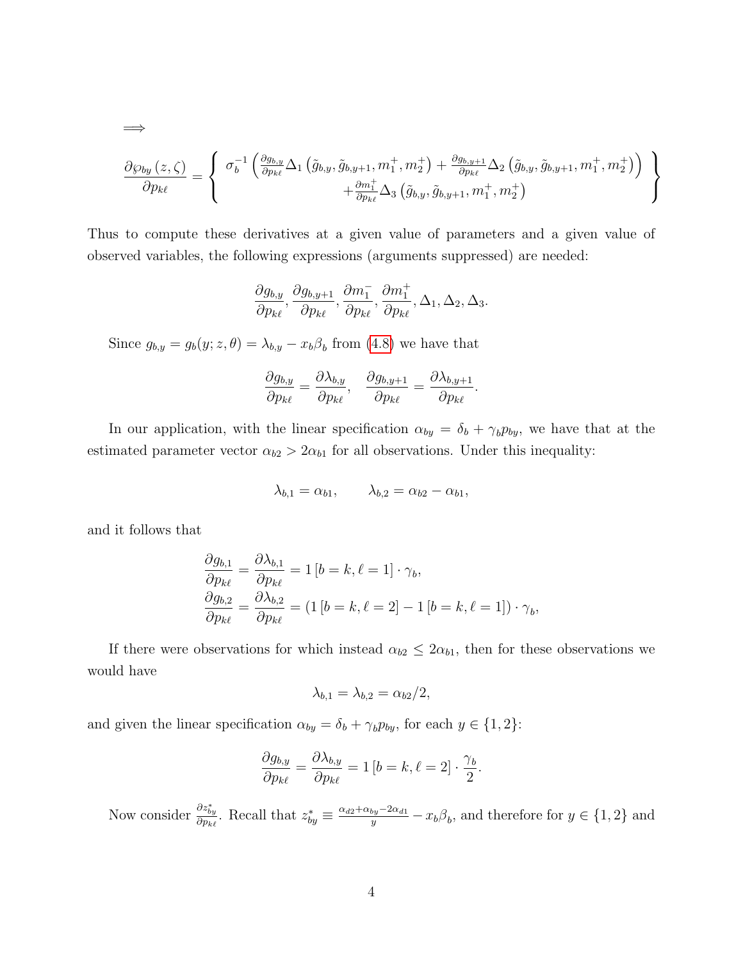$$
\frac{\partial \varphi_{by}(z,\zeta)}{\partial p_{k\ell}} = \left\{ \begin{array}{c} \sigma_b^{-1}\left(\frac{\partial g_{b,y}}{\partial p_{k\ell}}\Delta_1\left(\tilde{g}_{b,y},\tilde{g}_{b,y+1},m_1^+,m_2^+\right)+\frac{\partial g_{b,y+1}}{\partial p_{k\ell}}\Delta_2\left(\tilde{g}_{b,y},\tilde{g}_{b,y+1},m_1^+,m_2^+\right)\right) \\ +\frac{\partial m_1^+}{\partial p_{k\ell}}\Delta_3\left(\tilde{g}_{b,y},\tilde{g}_{b,y+1},m_1^+,m_2^+\right) \end{array} \right\}
$$

Thus to compute these derivatives at a given value of parameters and a given value of observed variables, the following expressions (arguments suppressed) are needed:

$$
\frac{\partial g_{b,y}}{\partial p_{k\ell}},\frac{\partial g_{b,y+1}}{\partial p_{k\ell}},\frac{\partial m_1^-}{\partial p_{k\ell}},\frac{\partial m_1^+}{\partial p_{k\ell}},\Delta_1,\Delta_2,\Delta_3.
$$

Since  $g_{b,y} = g_b(y; z, \theta) = \lambda_{b,y} - x_b \beta_b$  from [\(4.8\)](#page-0-0) we have that

$$
\frac{\partial g_{b,y}}{\partial p_{k\ell}} = \frac{\partial \lambda_{b,y}}{\partial p_{k\ell}}, \quad \frac{\partial g_{b,y+1}}{\partial p_{k\ell}} = \frac{\partial \lambda_{b,y+1}}{\partial p_{k\ell}}.
$$

In our application, with the linear specification  $\alpha_{by} = \delta_b + \gamma_b p_{by}$ , we have that at the estimated parameter vector  $\alpha_{b2} > 2\alpha_{b1}$  for all observations. Under this inequality:

$$
\lambda_{b,1} = \alpha_{b1}, \qquad \lambda_{b,2} = \alpha_{b2} - \alpha_{b1},
$$

and it follows that

=⇒

$$
\frac{\partial g_{b,1}}{\partial p_{k\ell}} = \frac{\partial \lambda_{b,1}}{\partial p_{k\ell}} = 1 [b = k, \ell = 1] \cdot \gamma_b,
$$
  

$$
\frac{\partial g_{b,2}}{\partial p_{k\ell}} = \frac{\partial \lambda_{b,2}}{\partial p_{k\ell}} = (1 [b = k, \ell = 2] - 1 [b = k, \ell = 1]) \cdot \gamma_b,
$$

If there were observations for which instead  $\alpha_{b2} \leq 2\alpha_{b1}$ , then for these observations we would have

$$
\lambda_{b,1} = \lambda_{b,2} = \alpha_{b2}/2,
$$

and given the linear specification  $\alpha_{by} = \delta_b + \gamma_b p_{by}$ , for each  $y \in \{1, 2\}$ :

$$
\frac{\partial g_{b,y}}{\partial p_{k\ell}} = \frac{\partial \lambda_{b,y}}{\partial p_{k\ell}} = 1 \left[ b = k, \ell = 2 \right] \cdot \frac{\gamma_b}{2}.
$$

Now consider  $\frac{\partial z_{by}^*}{\partial p_{k\ell}}$ . Recall that  $z_{by}^* \equiv \frac{\alpha_{d2} + \alpha_{by} - 2\alpha_{d1}}{y} - x_b\beta_b$ , and therefore for  $y \in \{1, 2\}$  and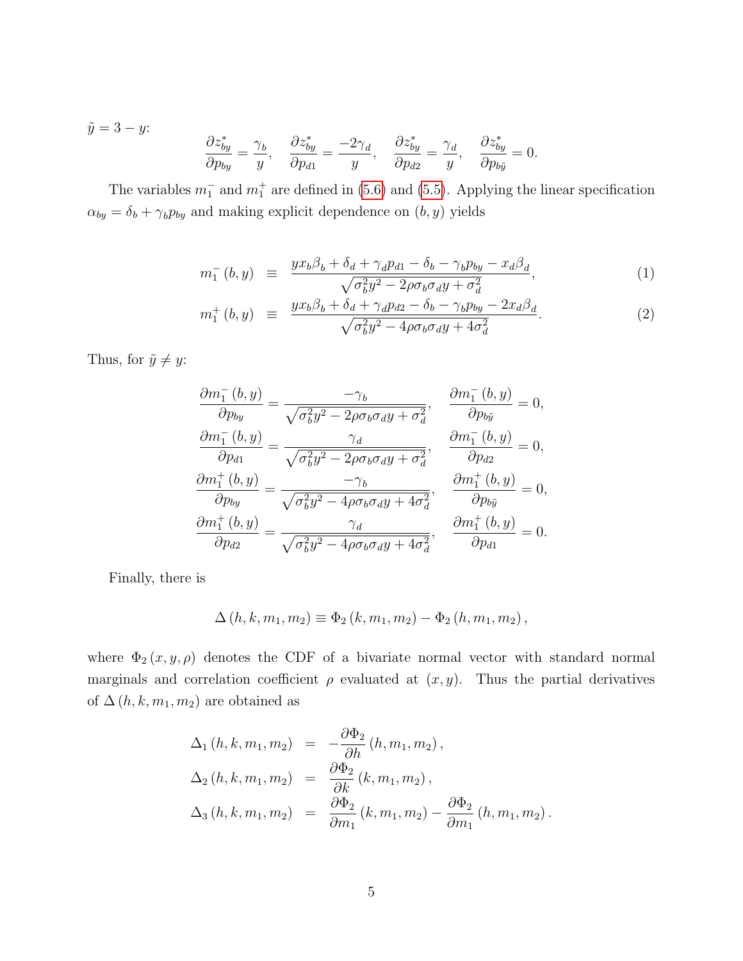$$
\tilde{y} = 3 - y:
$$
\n
$$
\frac{\partial z_{by}^*}{\partial p_{by}} = \frac{\gamma_b}{y}, \quad \frac{\partial z_{by}^*}{\partial p_{d1}} = \frac{-2\gamma_d}{y}, \quad \frac{\partial z_{by}^*}{\partial p_{d2}} = \frac{\gamma_d}{y}, \quad \frac{\partial z_{by}^*}{\partial p_{b\tilde{y}}} = 0.
$$

The variables  $m_1^-$  and  $m_1^+$  are defined in [\(5.6\)](#page-0-0) and [\(5.5\)](#page-0-0). Applying the linear specification  $\alpha_{by} = \delta_b + \gamma_b p_{by}$  and making explicit dependence on  $(b, y)$  yields

$$
m_1^-(b, y) \equiv \frac{yx_b\beta_b + \delta_d + \gamma_d p_{d1} - \delta_b - \gamma_b p_{by} - x_d\beta_d}{\sqrt{\sigma_b^2 y^2 - 2\rho \sigma_b \sigma_d y + \sigma_d^2}},
$$
(1)

$$
m_1^+(b, y) \equiv \frac{yx_b\beta_b + \delta_d + \gamma_d p_{d2} - \delta_b - \gamma_b p_{by} - 2x_d\beta_d}{\sqrt{\sigma_b^2 y^2 - 4\rho \sigma_b \sigma_d y + 4\sigma_d^2}}.
$$
 (2)

Thus, for  $\tilde{y} \neq y$ :

$$
\frac{\partial m_1^-(b,y)}{\partial p_{by}} = \frac{-\gamma_b}{\sqrt{\sigma_b^2 y^2 - 2\rho \sigma_b \sigma_d y + \sigma_d^2}}, \quad \frac{\partial m_1^-(b,y)}{\partial p_{b\tilde{y}}} = 0,
$$
\n
$$
\frac{\partial m_1^-(b,y)}{\partial p_{d1}} = \frac{\gamma_d}{\sqrt{\sigma_b^2 y^2 - 2\rho \sigma_b \sigma_d y + \sigma_d^2}}, \quad \frac{\partial m_1^-(b,y)}{\partial p_{d2}} = 0,
$$
\n
$$
\frac{\partial m_1^+(b,y)}{\partial p_{by}} = \frac{-\gamma_b}{\sqrt{\sigma_b^2 y^2 - 4\rho \sigma_b \sigma_d y + 4\sigma_d^2}}, \quad \frac{\partial m_1^+(b,y)}{\partial p_{b\tilde{y}}} = 0,
$$
\n
$$
\frac{\partial m_1^+(b,y)}{\partial p_{d2}} = \frac{\gamma_d}{\sqrt{\sigma_b^2 y^2 - 4\rho \sigma_b \sigma_d y + 4\sigma_d^2}}, \quad \frac{\partial m_1^+(b,y)}{\partial p_{d1}} = 0.
$$

Finally, there is

$$
\Delta(h, k, m_1, m_2) \equiv \Phi_2(k, m_1, m_2) - \Phi_2(h, m_1, m_2),
$$

where  $\Phi_2(x, y, \rho)$  denotes the CDF of a bivariate normal vector with standard normal marginals and correlation coefficient  $\rho$  evaluated at  $(x, y)$ . Thus the partial derivatives of  $\Delta(h, k, m_1, m_2)$  are obtained as

$$
\Delta_1 (h, k, m_1, m_2) = -\frac{\partial \Phi_2}{\partial h} (h, m_1, m_2), \n\Delta_2 (h, k, m_1, m_2) = \frac{\partial \Phi_2}{\partial k} (k, m_1, m_2), \n\Delta_3 (h, k, m_1, m_2) = \frac{\partial \Phi_2}{\partial m_1} (k, m_1, m_2) - \frac{\partial \Phi_2}{\partial m_1} (h, m_1, m_2).
$$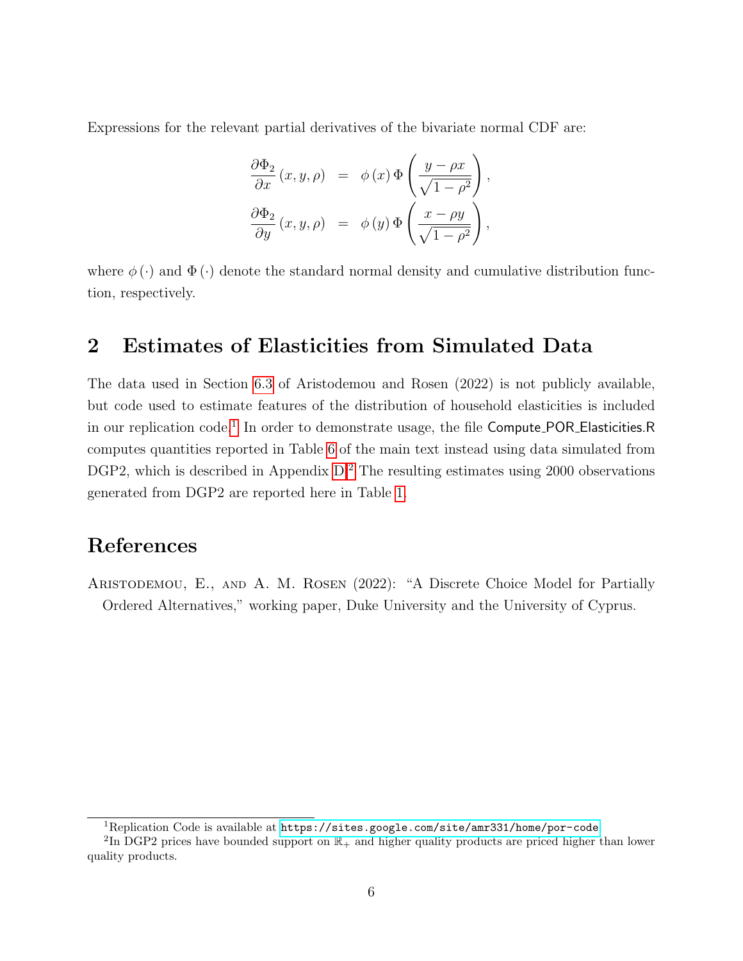Expressions for the relevant partial derivatives of the bivariate normal CDF are:

$$
\frac{\partial \Phi_2}{\partial x}(x, y, \rho) = \phi(x) \Phi\left(\frac{y - \rho x}{\sqrt{1 - \rho^2}}\right),
$$
  

$$
\frac{\partial \Phi_2}{\partial y}(x, y, \rho) = \phi(y) \Phi\left(\frac{x - \rho y}{\sqrt{1 - \rho^2}}\right),
$$

where  $\phi(\cdot)$  and  $\Phi(\cdot)$  denote the standard normal density and cumulative distribution function, respectively.

## <span id="page-5-0"></span>2 Estimates of Elasticities from Simulated Data

The data used in Section [6.3](#page-0-0) of Aristodemou and Rosen (2022) is not publicly available, but code used to estimate features of the distribution of household elasticities is included in our replication code.<sup>[1](#page-5-1)</sup> In order to demonstrate usage, the file Compute\_POR\_Elasticities.R computes quantities reported in Table [6](#page-0-0) of the main text instead using data simulated from DGP[2](#page-5-2), which is described in Appendix  $D<sup>2</sup>$ . The resulting estimates using 2000 observations generated from DGP2 are reported here in Table [1.](#page-6-0)

### References

Aristodemou, E., and A. M. Rosen (2022): "A Discrete Choice Model for Partially Ordered Alternatives," working paper, Duke University and the University of Cyprus.

<span id="page-5-2"></span><span id="page-5-1"></span><sup>1</sup>Replication Code is available at <https://sites.google.com/site/amr331/home/por-code>.

<sup>&</sup>lt;sup>2</sup>In DGP2 prices have bounded support on  $\mathbb{R}_+$  and higher quality products are priced higher than lower quality products.